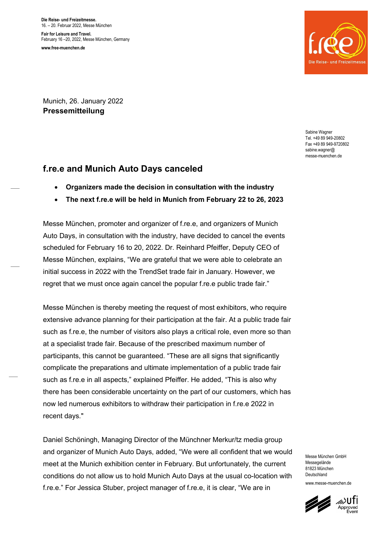Die Reise- und Freizeitmesse. 16. – 20. Februar 2022, Messe München Fair for Leisure and Travel. February 16 –20, 2022, Messe München, Germany

www.free-muenchen.de



Munich, 26. January 2022 Pressemitteilung

> Sabine Wagner Tel. +49 89 949-20802 Fax +49 89 949-9720802 sabine wagner@ messe-muenchen.de

## f.re.e and Munich Auto Days canceled

- Organizers made the decision in consultation with the industry
- The next f.re.e will be held in Munich from February 22 to 26, 2023

Messe München, promoter and organizer of f.re.e, and organizers of Munich Auto Days, in consultation with the industry, have decided to cancel the events scheduled for February 16 to 20, 2022. Dr. Reinhard Pfeiffer, Deputy CEO of Messe München, explains, "We are grateful that we were able to celebrate an initial success in 2022 with the TrendSet trade fair in January. However, we regret that we must once again cancel the popular f.re.e public trade fair."

Messe München is thereby meeting the request of most exhibitors, who require extensive advance planning for their participation at the fair. At a public trade fair such as f.re.e, the number of visitors also plays a critical role, even more so than at a specialist trade fair. Because of the prescribed maximum number of participants, this cannot be guaranteed. "These are all signs that significantly complicate the preparations and ultimate implementation of a public trade fair such as f.re.e in all aspects," explained Pfeiffer. He added, "This is also why there has been considerable uncertainty on the part of our customers, which has now led numerous exhibitors to withdraw their participation in f.re.e 2022 in recent days."

Daniel Schöningh, Managing Director of the Münchner Merkur/tz media group and organizer of Munich Auto Days, added, "We were all confident that we would meet at the Munich exhibition center in February. But unfortunately, the current conditions do not allow us to hold Munich Auto Days at the usual co-location with f.re.e." For Jessica Stuber, project manager of f.re.e, it is clear, "We are in

Messe München GmbH Messenelände 81823 München Deutschland www.messe-muenchen.de